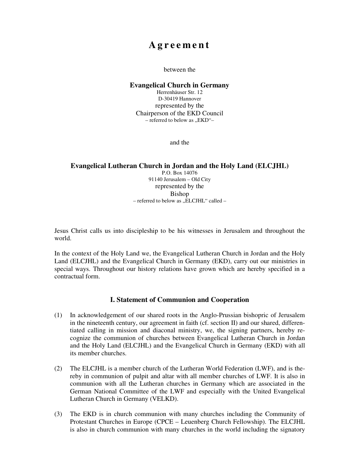# **A g r e e m e n t**

#### between the

#### **Evangelical Church in Germany**

Herrenhäuser Str. 12 D-30419 Hannover represented by the Chairperson of the EKD Council  $-$  referred to below as  $EKD$ .

and the

#### **Evangelical Lutheran Church in Jordan and the Holy Land (ELCJHL)**  P.O. Box 14076 91140 Jerusalem – Old City represented by the

Bishop – referred to below as " $\tilde{E}$ LCJHL" called –

Jesus Christ calls us into discipleship to be his witnesses in Jerusalem and throughout the world.

In the context of the Holy Land we, the Evangelical Lutheran Church in Jordan and the Holy Land (ELCJHL) and the Evangelical Church in Germany (EKD), carry out our ministries in special ways. Throughout our history relations have grown which are hereby specified in a contractual form.

### **I. Statement of Communion and Cooperation**

- (1) In acknowledgement of our shared roots in the Anglo-Prussian bishopric of Jerusalem in the nineteenth century, our agreement in faith (cf. section II) and our shared, differentiated calling in mission and diaconal ministry, we, the signing partners, hereby recognize the communion of churches between Evangelical Lutheran Church in Jordan and the Holy Land (ELCJHL) and the Evangelical Church in Germany (EKD) with all its member churches.
- (2) The ELCJHL is a member church of the Lutheran World Federation (LWF), and is thereby in communion of pulpit and altar with all member churches of LWF. It is also in communion with all the Lutheran churches in Germany which are associated in the German National Committee of the LWF and especially with the United Evangelical Lutheran Church in Germany (VELKD).
- (3) The EKD is in church communion with many churches including the Community of Protestant Churches in Europe (CPCE – Leuenberg Church Fellowship). The ELCJHL is also in church communion with many churches in the world including the signatory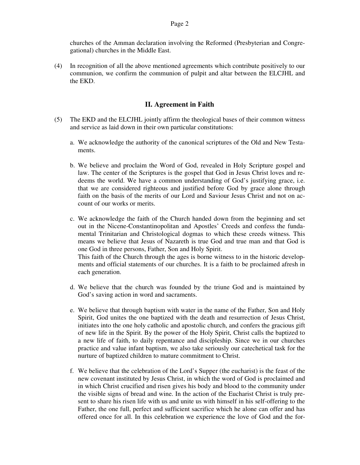churches of the Amman declaration involving the Reformed (Presbyterian and Congregational) churches in the Middle East.

(4) In recognition of all the above mentioned agreements which contribute positively to our communion, we confirm the communion of pulpit and altar between the ELCJHL and the EKD.

## **II. Agreement in Faith**

- (5) The EKD and the ELCJHL jointly affirm the theological bases of their common witness and service as laid down in their own particular constitutions:
	- a. We acknowledge the authority of the canonical scriptures of the Old and New Testaments.
	- b. We believe and proclaim the Word of God, revealed in Holy Scripture gospel and law. The center of the Scriptures is the gospel that God in Jesus Christ loves and redeems the world. We have a common understanding of God's justifying grace, i.e. that we are considered righteous and justified before God by grace alone through faith on the basis of the merits of our Lord and Saviour Jesus Christ and not on account of our works or merits.
	- c. We acknowledge the faith of the Church handed down from the beginning and set out in the Nicene-Constantinopolitan and Apostles' Creeds and confess the fundamental Trinitarian and Christological dogmas to which these creeds witness. This means we believe that Jesus of Nazareth is true God and true man and that God is one God in three persons, Father, Son and Holy Spirit. This faith of the Church through the ages is borne witness to in the historic developments and official statements of our churches. It is a faith to be proclaimed afresh in each generation.
	- d. We believe that the church was founded by the triune God and is maintained by God's saving action in word and sacraments.
	- e. We believe that through baptism with water in the name of the Father, Son and Holy Spirit, God unites the one baptized with the death and resurrection of Jesus Christ, initiates into the one holy catholic and apostolic church, and confers the gracious gift of new life in the Spirit. By the power of the Holy Spirit, Christ calls the baptized to a new life of faith, to daily repentance and discipleship. Since we in our churches practice and value infant baptism, we also take seriously our catechetical task for the nurture of baptized children to mature commitment to Christ.
	- f. We believe that the celebration of the Lord's Supper (the eucharist) is the feast of the new covenant instituted by Jesus Christ, in which the word of God is proclaimed and in which Christ crucified and risen gives his body and blood to the community under the visible signs of bread and wine. In the action of the Eucharist Christ is truly present to share his risen life with us and unite us with himself in his self-offering to the Father, the one full, perfect and sufficient sacrifice which he alone can offer and has offered once for all. In this celebration we experience the love of God and the for-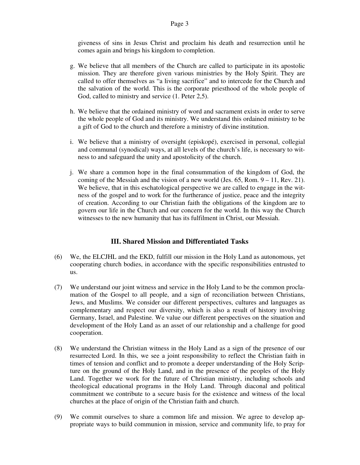giveness of sins in Jesus Christ and proclaim his death and resurrection until he comes again and brings his kingdom to completion.

- g. We believe that all members of the Church are called to participate in its apostolic mission. They are therefore given various ministries by the Holy Spirit. They are called to offer themselves as "a living sacrifice" and to intercede for the Church and the salvation of the world. This is the corporate priesthood of the whole people of God, called to ministry and service (1. Peter 2,5).
- h. We believe that the ordained ministry of word and sacrament exists in order to serve the whole people of God and its ministry. We understand this ordained ministry to be a gift of God to the church and therefore a ministry of divine institution.
- i. We believe that a ministry of oversight (episkopé), exercised in personal, collegial and communal (synodical) ways, at all levels of the church's life, is necessary to witness to and safeguard the unity and apostolicity of the church.
- j. We share a common hope in the final consummation of the kingdom of God, the coming of the Messiah and the vision of a new world (Jes. 65, Rom. 9 – 11, Rev. 21). We believe, that in this eschatological perspective we are called to engage in the witness of the gospel and to work for the furtherance of justice, peace and the integrity of creation. According to our Christian faith the obligations of the kingdom are to govern our life in the Church and our concern for the world. In this way the Church witnesses to the new humanity that has its fulfilment in Christ, our Messiah.

### **III. Shared Mission and Differentiated Tasks**

- (6) We, the ELCJHL and the EKD, fulfill our mission in the Holy Land as autonomous, yet cooperating church bodies, in accordance with the specific responsibilities entrusted to us.
- (7) We understand our joint witness and service in the Holy Land to be the common proclamation of the Gospel to all people, and a sign of reconciliation between Christians, Jews, and Muslims. We consider our different perspectives, cultures and languages as complementary and respect our diversity, which is also a result of history involving Germany, Israel, and Palestine. We value our different perspectives on the situation and development of the Holy Land as an asset of our relationship and a challenge for good cooperation.
- (8) We understand the Christian witness in the Holy Land as a sign of the presence of our resurrected Lord. In this, we see a joint responsibility to reflect the Christian faith in times of tension and conflict and to promote a deeper understanding of the Holy Scripture on the ground of the Holy Land, and in the presence of the peoples of the Holy Land. Together we work for the future of Christian ministry, including schools and theological educational programs in the Holy Land. Through diaconal and political commitment we contribute to a secure basis for the existence and witness of the local churches at the place of origin of the Christian faith and church.
- (9) We commit ourselves to share a common life and mission. We agree to develop appropriate ways to build communion in mission, service and community life, to pray for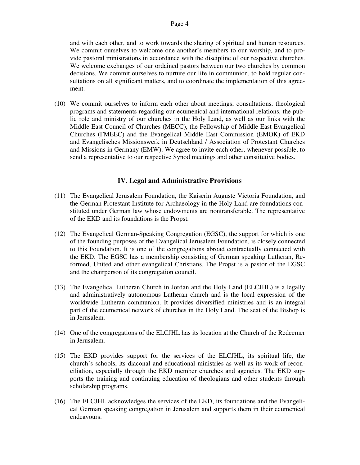and with each other, and to work towards the sharing of spiritual and human resources. We commit ourselves to welcome one another's members to our worship, and to provide pastoral ministrations in accordance with the discipline of our respective churches. We welcome exchanges of our ordained pastors between our two churches by common decisions. We commit ourselves to nurture our life in communion, to hold regular consultations on all significant matters, and to coordinate the implementation of this agreement.

(10) We commit ourselves to inform each other about meetings, consultations, theological programs and statements regarding our ecumenical and international relations, the public role and ministry of our churches in the Holy Land, as well as our links with the Middle East Council of Churches (MECC), the Fellowship of Middle East Evangelical Churches (FMEEC) and the Evangelical Middle East Commission (EMOK) of EKD and Evangelisches Missionswerk in Deutschland / Association of Protestant Churches and Missions in Germany (EMW). We agree to invite each other, whenever possible, to send a representative to our respective Synod meetings and other constitutive bodies.

# **IV. Legal and Administrative Provisions**

- (11) The Evangelical Jerusalem Foundation, the Kaiserin Auguste Victoria Foundation, and the German Protestant Institute for Archaeology in the Holy Land are foundations constituted under German law whose endowments are nontransferable. The representative of the EKD and its foundations is the Propst.
- (12) The Evangelical German-Speaking Congregation (EGSC), the support for which is one of the founding purposes of the Evangelical Jerusalem Foundation, is closely connected to this Foundation. It is one of the congregations abroad contractually connected with the EKD. The EGSC has a membership consisting of German speaking Lutheran, Reformed, United and other evangelical Christians. The Propst is a pastor of the EGSC and the chairperson of its congregation council.
- (13) The Evangelical Lutheran Church in Jordan and the Holy Land (ELCJHL) is a legally and administratively autonomous Lutheran church and is the local expression of the worldwide Lutheran communion. It provides diversified ministries and is an integral part of the ecumenical network of churches in the Holy Land. The seat of the Bishop is in Jerusalem.
- (14) One of the congregations of the ELCJHL has its location at the Church of the Redeemer in Jerusalem.
- (15) The EKD provides support for the services of the ELCJHL, its spiritual life, the church's schools, its diaconal and educational ministries as well as its work of reconciliation, especially through the EKD member churches and agencies. The EKD supports the training and continuing education of theologians and other students through scholarship programs.
- (16) The ELCJHL acknowledges the services of the EKD, its foundations and the Evangelical German speaking congregation in Jerusalem and supports them in their ecumenical endeavours.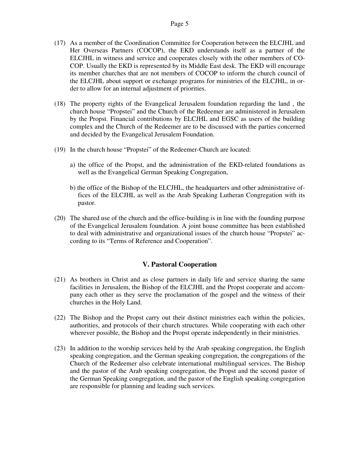- (17) As a member of the Coordination Committee for Cooperation between the ELCJHL and Her Overseas Partners (COCOP), the EKD understands itself as a partner of the ELCJHL in witness and service and cooperates closely with the other members of CO-COP. Usually the EKD is represented by its Middle East desk. The EKD will encourage its member churches that are not members of COCOP to inform the church council of the ELCJHL about support or exchange programs for ministries of the ELCJHL, in order to allow for an internal adjustment of priorities.
- (18) The property rights of the Evangelical Jerusalem foundation regarding the land , the church house "Propstei" and the Church of the Redeemer are administered in Jerusalem by the Propst. Financial contributions by ELCJHL and EGSC as users of the building complex and the Church of the Redeemer are to be discussed with the parties concerned and decided by the Evangelical Jerusalem Foundation.
- (19) In the church house "Propstei" of the Redeemer-Church are located:
	- a) the office of the Propst, and the administration of the EKD-related foundations as well as the Evangelical German Speaking Congregation,
	- b) the office of the Bishop of the ELCJHL, the headquarters and other administrative offices of the ELCJHL as well as the Arab Speaking Lutheran Congregation with its pastor.
- (20) The shared use of the church and the office-building is in line with the founding purpose of the Evangelical Jerusalem foundation. A joint house committee has been established to deal with administrative and organizational issues of the church house "Propstei" according to its "Terms of Reference and Cooperation".

### **V. Pastoral Cooperation**

- (21) As brothers in Christ and as close partners in daily life and service sharing the same facilities in Jerusalem, the Bishop of the ELCJHL and the Propst cooperate and accompany each other as they serve the proclamation of the gospel and the witness of their churches in the Holy Land.
- (22) The Bishop and the Propst carry out their distinct ministries each within the policies, authorities, and protocols of their church structures. While cooperating with each other wherever possible, the Bishop and the Propst operate independently in their ministries.
- (23) In addition to the worship services held by the Arab speaking congregation, the English speaking congregation, and the German speaking congregation, the congregations of the Church of the Redeemer also celebrate international multilingual services. The Bishop and the pastor of the Arab speaking congregation, the Propst and the second pastor of the German Speaking congregation, and the pastor of the English speaking congregation are responsible for planning and leading such services.